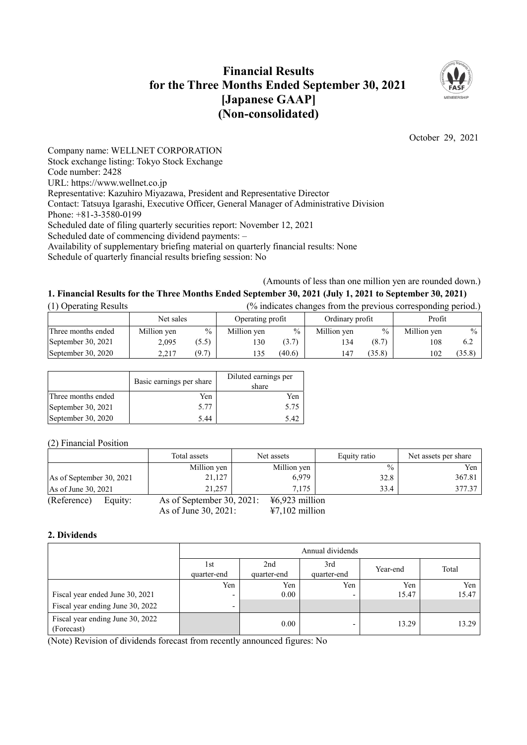## **Financial Results for the Three Months Ended September 30, 2021 [Japanese GAAP] (Non-consolidated)**



October 29, 2021

Company name: WELLNET CORPORATION Stock exchange listing: Tokyo Stock Exchange Code number: 2428 URL: https://www.wellnet.co.jp Representative: Kazuhiro Miyazawa, President and Representative Director Contact: Tatsuya Igarashi, Executive Officer, General Manager of Administrative Division Phone: +81-3-3580-0199 Scheduled date of filing quarterly securities report: November 12, 2021 Scheduled date of commencing dividend payments: – Availability of supplementary briefing material on quarterly financial results: None Schedule of quarterly financial results briefing session: No

(Amounts of less than one million yen are rounded down.)

# **1. Financial Results for the Three Months Ended September 30, 2021 (July 1, 2021 to September 30, 2021)**

| (1) Operating Results | (% indicates changes from the previous corresponding period.) |               |                  |               |                 |               |             |        |
|-----------------------|---------------------------------------------------------------|---------------|------------------|---------------|-----------------|---------------|-------------|--------|
|                       | Net sales                                                     |               | Operating profit |               | Ordinary profit |               | Profit      |        |
| Three months ended    | Million yen                                                   | $\frac{0}{0}$ | Million yen      | $\frac{0}{0}$ | Million yen     | $\frac{0}{0}$ | Million yen | $\%$   |
| September 30, 2021    | 2.095                                                         | (5.5)         | 130              | (3.7)         | 134             | (8.7)         | 108         | 6.2    |
| September 30, 2020    | 2.217                                                         | (9.7)         | 135              | (40.6)        | 147             | (35.8)        | 102         | (35.8) |

|                    | Basic earnings per share | Diluted earnings per<br>share |
|--------------------|--------------------------|-------------------------------|
| Three months ended | Yen                      | Yen                           |
| September 30, 2021 | 5.77                     | 5.75                          |
| September 30, 2020 | 5.44                     | 5.42                          |

(2) Financial Position

|                          | Total assets              | Net assets       | Equity ratio  | Net assets per share |
|--------------------------|---------------------------|------------------|---------------|----------------------|
|                          | Million yen               | Million yen      | $\frac{0}{0}$ | Yen                  |
| As of September 30, 2021 | 21,127                    | 6,979            | 32.8          | 367.81               |
| As of June 30, 2021      | 21,257                    | 7.175            | 33.4          | 377.37               |
| (Reference)<br>Equity:   | As of September 30, 2021: | $46,923$ million |               |                      |
|                          | As of June $30, 2021$ :   | $47,102$ million |               |                      |

## **2. Dividends**

|                                                | Annual dividends    |                    |                    |          |       |
|------------------------------------------------|---------------------|--------------------|--------------------|----------|-------|
|                                                | l st<br>quarter-end | 2nd<br>quarter-end | 3rd<br>quarter-end | Year-end | Total |
|                                                | Yen                 | Yen                | Yen                | Yen      | Yen   |
| Fiscal year ended June 30, 2021                | $\overline{ }$      | 0.00               |                    | 15.47    | 15.47 |
| Fiscal year ending June 30, 2022               | ۰                   |                    |                    |          |       |
| Fiscal year ending June 30, 2022<br>(Forecast) |                     | 0.00               |                    | 13.29    | 13.29 |

(Note) Revision of dividends forecast from recently announced figures: No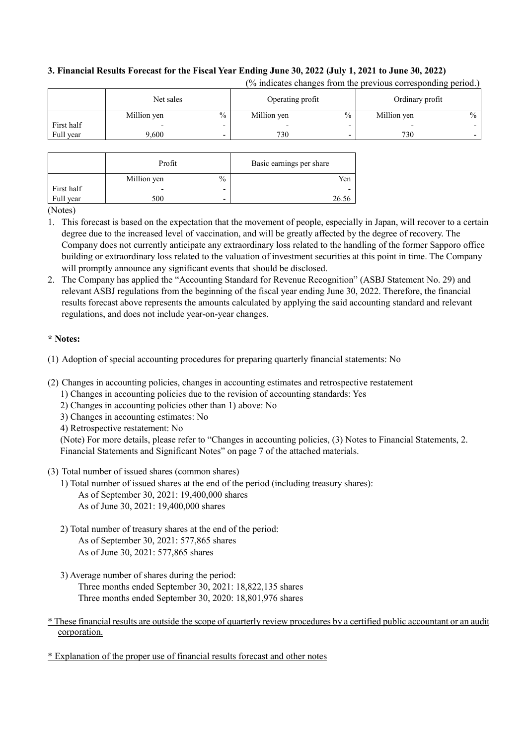## **3. Financial Results Forecast for the Fiscal Year Ending June 30, 2022 (July 1, 2021 to June 30, 2022)**

| $\%$<br>$\%$<br>Million yen<br>Million yen<br>Million yen                                      |      |
|------------------------------------------------------------------------------------------------|------|
|                                                                                                | $\%$ |
| First half<br>$\overline{\phantom{0}}$<br>$\overline{\phantom{0}}$<br>$\overline{\phantom{0}}$ |      |
| Full year<br>730<br>730<br>9.600<br>$\overline{\phantom{0}}$                                   |      |

(% indicates changes from the previous corresponding period.)

|            | Profit      |      | Basic earnings per share |
|------------|-------------|------|--------------------------|
|            | Million yen | $\%$ | Yen                      |
| First half |             | -    |                          |
| Full year  | 500         | -    | 26.56                    |

(Notes)

- 1. This forecast is based on the expectation that the movement of people, especially in Japan, will recover to a certain degree due to the increased level of vaccination, and will be greatly affected by the degree of recovery. The Company does not currently anticipate any extraordinary loss related to the handling of the former Sapporo office building or extraordinary loss related to the valuation of investment securities at this point in time. The Company will promptly announce any significant events that should be disclosed.
- 2. The Company has applied the "Accounting Standard for Revenue Recognition" (ASBJ Statement No. 29) and relevant ASBJ regulations from the beginning of the fiscal year ending June 30, 2022. Therefore, the financial results forecast above represents the amounts calculated by applying the said accounting standard and relevant regulations, and does not include year-on-year changes.

## **\* Notes:**

- (1) Adoption of special accounting procedures for preparing quarterly financial statements: No
- (2) Changes in accounting policies, changes in accounting estimates and retrospective restatement
	- 1) Changes in accounting policies due to the revision of accounting standards: Yes
	- 2) Changes in accounting policies other than 1) above: No
	- 3) Changes in accounting estimates: No
	- 4) Retrospective restatement: No

(Note) For more details, please refer to "Changes in accounting policies, (3) Notes to Financial Statements, 2. Financial Statements and Significant Notes" on page 7 of the attached materials.

## (3) Total number of issued shares (common shares)

- 1) Total number of issued shares at the end of the period (including treasury shares): As of September 30, 2021: 19,400,000 shares As of June 30, 2021: 19,400,000 shares
- 2) Total number of treasury shares at the end of the period: As of September 30, 2021: 577,865 shares As of June 30, 2021: 577,865 shares
- 3) Average number of shares during the period: Three months ended September 30, 2021: 18,822,135 shares Three months ended September 30, 2020: 18,801,976 shares
- \* These financial results are outside the scope of quarterly review procedures by a certified public accountant or an audit corporation.

\* Explanation of the proper use of financial results forecast and other notes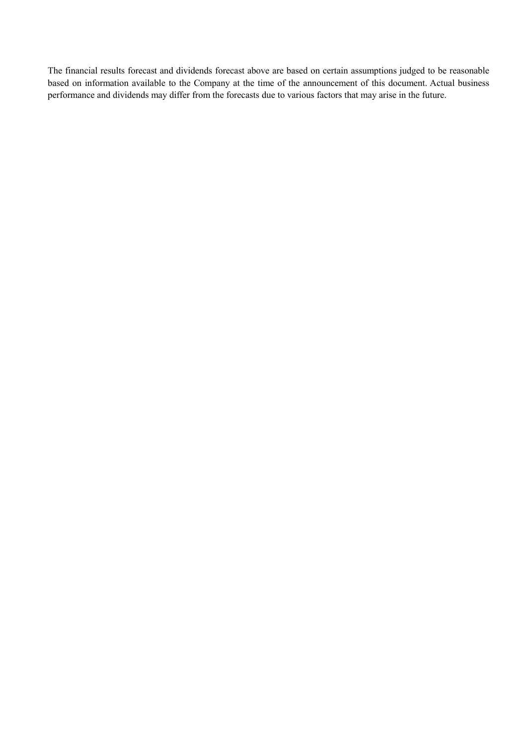The financial results forecast and dividends forecast above are based on certain assumptions judged to be reasonable based on information available to the Company at the time of the announcement of this document. Actual business performance and dividends may differ from the forecasts due to various factors that may arise in the future.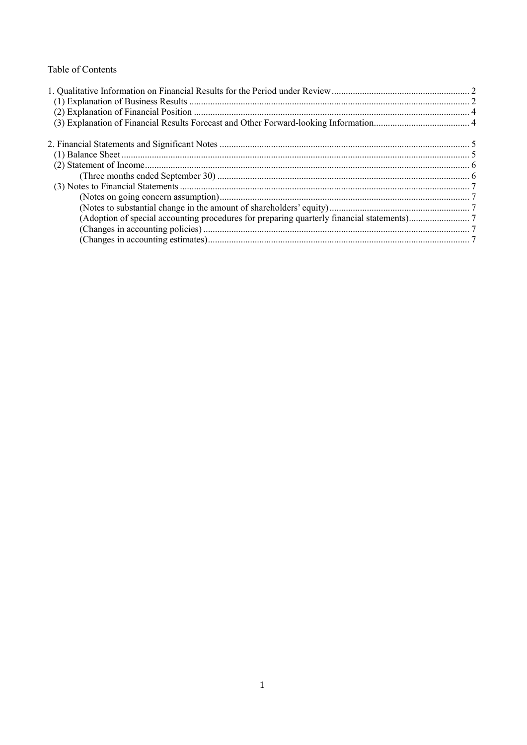## Table of Contents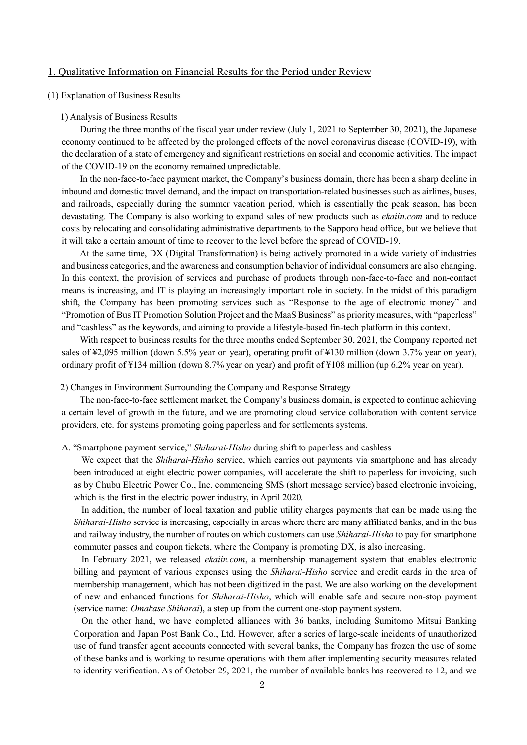## 1. Qualitative Information on Financial Results for the Period under Review

#### (1) Explanation of Business Results

#### 1) Analysis of Business Results

During the three months of the fiscal year under review (July 1, 2021 to September 30, 2021), the Japanese economy continued to be affected by the prolonged effects of the novel coronavirus disease (COVID-19), with the declaration of a state of emergency and significant restrictions on social and economic activities. The impact of the COVID-19 on the economy remained unpredictable.

In the non-face-to-face payment market, the Company's business domain, there has been a sharp decline in inbound and domestic travel demand, and the impact on transportation-related businesses such as airlines, buses, and railroads, especially during the summer vacation period, which is essentially the peak season, has been devastating. The Company is also working to expand sales of new products such as *ekaiin.com* and to reduce costs by relocating and consolidating administrative departments to the Sapporo head office, but we believe that it will take a certain amount of time to recover to the level before the spread of COVID-19.

At the same time, DX (Digital Transformation) is being actively promoted in a wide variety of industries and business categories, and the awareness and consumption behavior of individual consumers are also changing. In this context, the provision of services and purchase of products through non-face-to-face and non-contact means is increasing, and IT is playing an increasingly important role in society. In the midst of this paradigm shift, the Company has been promoting services such as "Response to the age of electronic money" and "Promotion of Bus IT Promotion Solution Project and the MaaS Business" as priority measures, with "paperless" and "cashless" as the keywords, and aiming to provide a lifestyle-based fin-tech platform in this context.

With respect to business results for the three months ended September 30, 2021, the Company reported net sales of ¥2,095 million (down 5.5% year on year), operating profit of ¥130 million (down 3.7% year on year), ordinary profit of ¥134 million (down 8.7% year on year) and profit of ¥108 million (up 6.2% year on year).

#### 2) Changes in Environment Surrounding the Company and Response Strategy

The non-face-to-face settlement market, the Company's business domain, is expected to continue achieving a certain level of growth in the future, and we are promoting cloud service collaboration with content service providers, etc. for systems promoting going paperless and for settlements systems.

A. "Smartphone payment service," *Shiharai-Hisho* during shift to paperless and cashless

We expect that the *Shiharai-Hisho* service, which carries out payments via smartphone and has already been introduced at eight electric power companies, will accelerate the shift to paperless for invoicing, such as by Chubu Electric Power Co., Inc. commencing SMS (short message service) based electronic invoicing, which is the first in the electric power industry, in April 2020.

In addition, the number of local taxation and public utility charges payments that can be made using the *Shiharai-Hisho* service is increasing, especially in areas where there are many affiliated banks, and in the bus and railway industry, the number of routes on which customers can use *Shiharai-Hisho* to pay for smartphone commuter passes and coupon tickets, where the Company is promoting DX, is also increasing.

In February 2021, we released *ekaiin.com*, a membership management system that enables electronic billing and payment of various expenses using the *Shiharai-Hisho* service and credit cards in the area of membership management, which has not been digitized in the past. We are also working on the development of new and enhanced functions for *Shiharai-Hisho*, which will enable safe and secure non-stop payment (service name: *Omakase Shiharai*), a step up from the current one-stop payment system.

On the other hand, we have completed alliances with 36 banks, including Sumitomo Mitsui Banking Corporation and Japan Post Bank Co., Ltd. However, after a series of large-scale incidents of unauthorized use of fund transfer agent accounts connected with several banks, the Company has frozen the use of some of these banks and is working to resume operations with them after implementing security measures related to identity verification. As of October 29, 2021, the number of available banks has recovered to 12, and we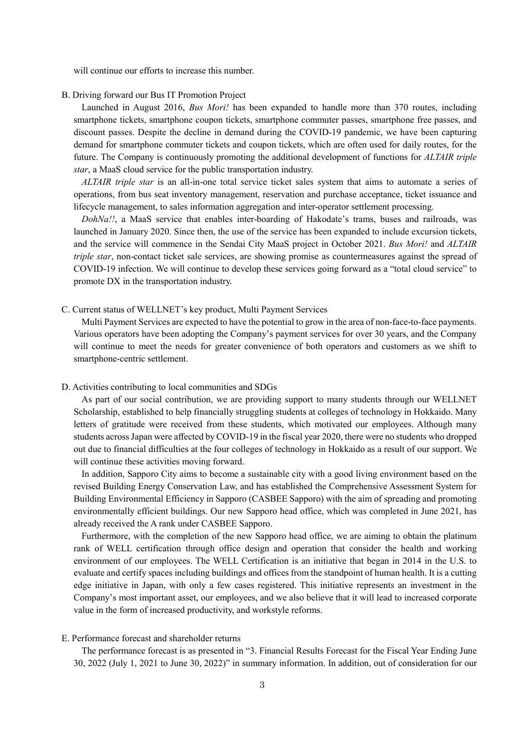will continue our efforts to increase this number.

#### B. Driving forward our Bus IT Promotion Project

Launched in August 2016, *Bus Mori!* has been expanded to handle more than 370 routes, including smartphone tickets, smartphone coupon tickets, smartphone commuter passes, smartphone free passes, and discount passes. Despite the decline in demand during the COVID-19 pandemic, we have been capturing demand for smartphone commuter tickets and coupon tickets, which are often used for daily routes, for the future. The Company is continuously promoting the additional development of functions for *ALTAIR triple star*, a MaaS cloud service for the public transportation industry.

*ALTAIR triple star* is an all-in-one total service ticket sales system that aims to automate a series of operations, from bus seat inventory management, reservation and purchase acceptance, ticket issuance and lifecycle management, to sales information aggregation and inter-operator settlement processing.

*DohNa!!*, a MaaS service that enables inter-boarding of Hakodate's trams, buses and railroads, was launched in January 2020. Since then, the use of the service has been expanded to include excursion tickets, and the service will commence in the Sendai City MaaS project in October 2021. *Bus Mori!* and *ALTAIR triple star*, non-contact ticket sale services, are showing promise as countermeasures against the spread of COVID-19 infection. We will continue to develop these services going forward as a "total cloud service" to promote DX in the transportation industry.

C. Current status of WELLNET's key product, Multi Payment Services

Multi Payment Services are expected to have the potential to grow in the area of non-face-to-face payments. Various operators have been adopting the Company's payment services for over 30 years, and the Company will continue to meet the needs for greater convenience of both operators and customers as we shift to smartphone-centric settlement.

#### D. Activities contributing to local communities and SDGs

As part of our social contribution, we are providing support to many students through our WELLNET Scholarship, established to help financially struggling students at colleges of technology in Hokkaido. Many letters of gratitude were received from these students, which motivated our employees. Although many students across Japan were affected by COVID-19 in the fiscal year 2020, there were no students who dropped out due to financial difficulties at the four colleges of technology in Hokkaido as a result of our support. We will continue these activities moving forward.

In addition, Sapporo City aims to become a sustainable city with a good living environment based on the revised Building Energy Conservation Law, and has established the Comprehensive Assessment System for Building Environmental Efficiency in Sapporo (CASBEE Sapporo) with the aim of spreading and promoting environmentally efficient buildings. Our new Sapporo head office, which was completed in June 2021, has already received the A rank under CASBEE Sapporo.

Furthermore, with the completion of the new Sapporo head office, we are aiming to obtain the platinum rank of WELL certification through office design and operation that consider the health and working environment of our employees. The WELL Certification is an initiative that began in 2014 in the U.S. to evaluate and certify spaces including buildings and offices from the standpoint of human health. It is a cutting edge initiative in Japan, with only a few cases registered. This initiative represents an investment in the Company's most important asset, our employees, and we also believe that it will lead to increased corporate value in the form of increased productivity, and workstyle reforms.

#### E. Performance forecast and shareholder returns

The performance forecast is as presented in "3. Financial Results Forecast for the Fiscal Year Ending June 30, 2022 (July 1, 2021 to June 30, 2022)" in summary information. In addition, out of consideration for our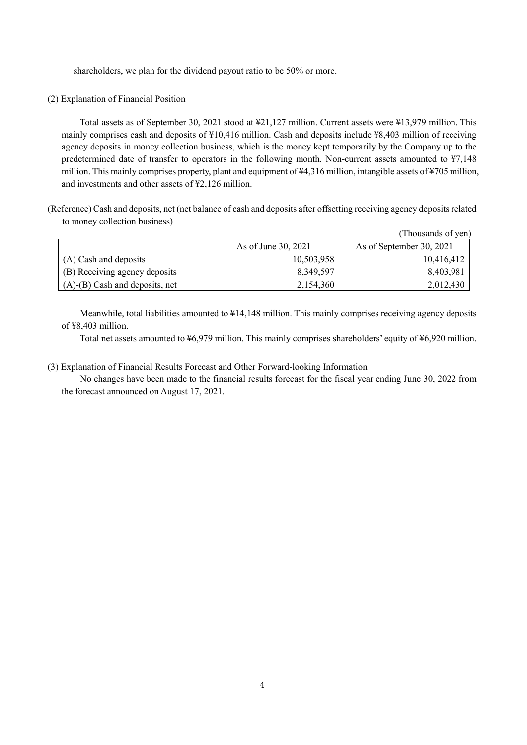shareholders, we plan for the dividend payout ratio to be 50% or more.

(2) Explanation of Financial Position

Total assets as of September 30, 2021 stood at ¥21,127 million. Current assets were ¥13,979 million. This mainly comprises cash and deposits of ¥10,416 million. Cash and deposits include ¥8,403 million of receiving agency deposits in money collection business, which is the money kept temporarily by the Company up to the predetermined date of transfer to operators in the following month. Non-current assets amounted to ¥7,148 million. This mainly comprises property, plant and equipment of ¥4,316 million, intangible assets of ¥705 million, and investments and other assets of ¥2,126 million.

(Reference) Cash and deposits, net (net balance of cash and deposits after offsetting receiving agency deposits related to money collection business)

|                                      |                     | (Thousands of yen)       |
|--------------------------------------|---------------------|--------------------------|
|                                      | As of June 30, 2021 | As of September 30, 2021 |
| (A) Cash and deposits                | 10,503,958          | 10,416,412               |
| (B) Receiving agency deposits        | 8,349,597           | 8,403,981                |
| $(A)$ - $(B)$ Cash and deposits, net | 2,154,360           | 2,012,430                |

Meanwhile, total liabilities amounted to ¥14,148 million. This mainly comprises receiving agency deposits of ¥8,403 million.

Total net assets amounted to ¥6,979 million. This mainly comprises shareholders' equity of ¥6,920 million.

(3) Explanation of Financial Results Forecast and Other Forward-looking Information

No changes have been made to the financial results forecast for the fiscal year ending June 30, 2022 from the forecast announced on August 17, 2021.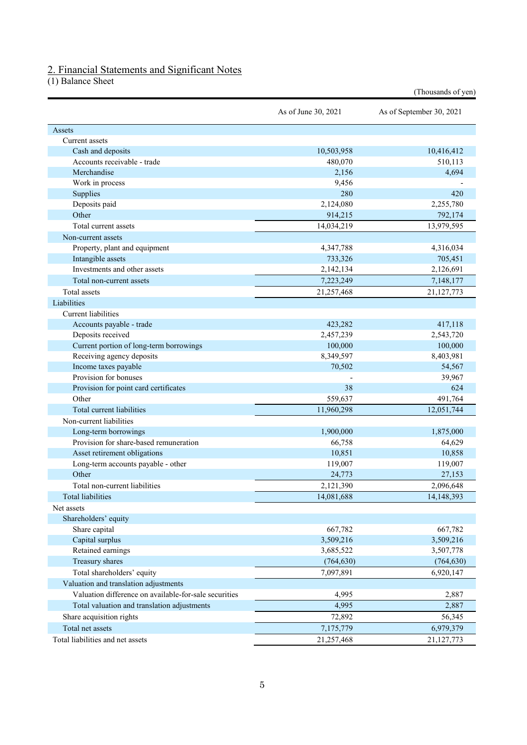## 2. Financial Statements and Significant Notes

(1) Balance Sheet

|                                                       |                     | (Thousands of yen)       |
|-------------------------------------------------------|---------------------|--------------------------|
|                                                       | As of June 30, 2021 | As of September 30, 2021 |
| Assets                                                |                     |                          |
| Current assets                                        |                     |                          |
| Cash and deposits                                     | 10,503,958          | 10,416,412               |
| Accounts receivable - trade                           | 480,070             | 510,113                  |
| Merchandise                                           | 2,156               | 4,694                    |
| Work in process                                       | 9,456               |                          |
| Supplies                                              | 280                 | 420                      |
| Deposits paid                                         | 2,124,080           | 2,255,780                |
| Other                                                 | 914,215             | 792,174                  |
| Total current assets                                  | 14,034,219          | 13,979,595               |
| Non-current assets                                    |                     |                          |
| Property, plant and equipment                         | 4,347,788           | 4,316,034                |
| Intangible assets                                     | 733,326             | 705,451                  |
| Investments and other assets                          | 2,142,134           | 2,126,691                |
| Total non-current assets                              | 7,223,249           | 7,148,177                |
| Total assets                                          | 21,257,468          | 21,127,773               |
| Liabilities                                           |                     |                          |
| Current liabilities                                   |                     |                          |
| Accounts payable - trade                              | 423,282             | 417,118                  |
| Deposits received                                     | 2,457,239           | 2,543,720                |
| Current portion of long-term borrowings               | 100,000             | 100,000                  |
| Receiving agency deposits                             | 8,349,597           | 8,403,981                |
| Income taxes payable                                  | 70,502              | 54,567                   |
| Provision for bonuses                                 |                     | 39,967                   |
| Provision for point card certificates                 | 38                  | 624                      |
| Other                                                 | 559,637             | 491,764                  |
| Total current liabilities                             | 11,960,298          | 12,051,744               |
| Non-current liabilities                               |                     |                          |
| Long-term borrowings                                  | 1,900,000           | 1,875,000                |
| Provision for share-based remuneration                | 66,758              | 64,629                   |
| Asset retirement obligations                          | 10,851              | 10,858                   |
| Long-term accounts payable - other                    | 119,007             | 119,007                  |
| Other                                                 | 24,773              | 27,153                   |
| Total non-current liabilities                         |                     | 2,096,648                |
| <b>Total liabilities</b>                              | 2,121,390           |                          |
|                                                       | 14,081,688          | 14, 148, 393             |
| Net assets                                            |                     |                          |
| Shareholders' equity                                  |                     |                          |
| Share capital                                         | 667,782             | 667,782                  |
| Capital surplus                                       | 3,509,216           | 3,509,216                |
| Retained earnings                                     | 3,685,522           | 3,507,778                |
| Treasury shares                                       | (764, 630)          | (764, 630)               |
| Total shareholders' equity                            | 7,097,891           | 6,920,147                |
| Valuation and translation adjustments                 |                     |                          |
| Valuation difference on available-for-sale securities | 4,995               | 2,887                    |
| Total valuation and translation adjustments           | 4,995               | 2,887                    |
| Share acquisition rights                              | 72,892              | 56,345                   |
| Total net assets                                      | 7,175,779           | 6,979,379                |
| Total liabilities and net assets                      | 21,257,468          | 21,127,773               |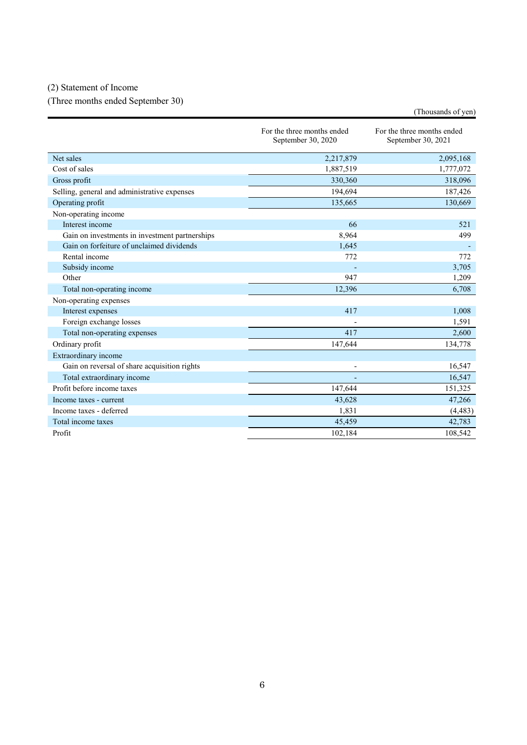## (2) Statement of Income

(Three months ended September 30)

|                                                |                                                  | (Thousands of yen)                               |
|------------------------------------------------|--------------------------------------------------|--------------------------------------------------|
|                                                | For the three months ended<br>September 30, 2020 | For the three months ended<br>September 30, 2021 |
| Net sales                                      | 2,217,879                                        | 2,095,168                                        |
| Cost of sales                                  | 1,887,519                                        | 1,777,072                                        |
| Gross profit                                   | 330,360                                          | 318,096                                          |
| Selling, general and administrative expenses   | 194,694                                          | 187,426                                          |
| Operating profit                               | 135,665                                          | 130,669                                          |
| Non-operating income                           |                                                  |                                                  |
| Interest income                                | 66                                               | 521                                              |
| Gain on investments in investment partnerships | 8,964                                            | 499                                              |
| Gain on forfeiture of unclaimed dividends      | 1,645                                            |                                                  |
| Rental income                                  | 772                                              | 772                                              |
| Subsidy income                                 |                                                  | 3,705                                            |
| Other                                          | 947                                              | 1,209                                            |
| Total non-operating income                     | 12,396                                           | 6,708                                            |
| Non-operating expenses                         |                                                  |                                                  |
| Interest expenses                              | 417                                              | 1,008                                            |
| Foreign exchange losses                        |                                                  | 1,591                                            |
| Total non-operating expenses                   | 417                                              | 2,600                                            |
| Ordinary profit                                | 147,644                                          | 134,778                                          |
| Extraordinary income                           |                                                  |                                                  |
| Gain on reversal of share acquisition rights   |                                                  | 16.547                                           |
| Total extraordinary income                     |                                                  | 16,547                                           |
| Profit before income taxes                     | 147,644                                          | 151,325                                          |
| Income taxes - current                         | 43,628                                           | 47,266                                           |
| Income taxes - deferred                        | 1,831                                            | (4, 483)                                         |
| Total income taxes                             | 45,459                                           | 42,783                                           |
| Profit                                         | 102.184                                          | 108.542                                          |